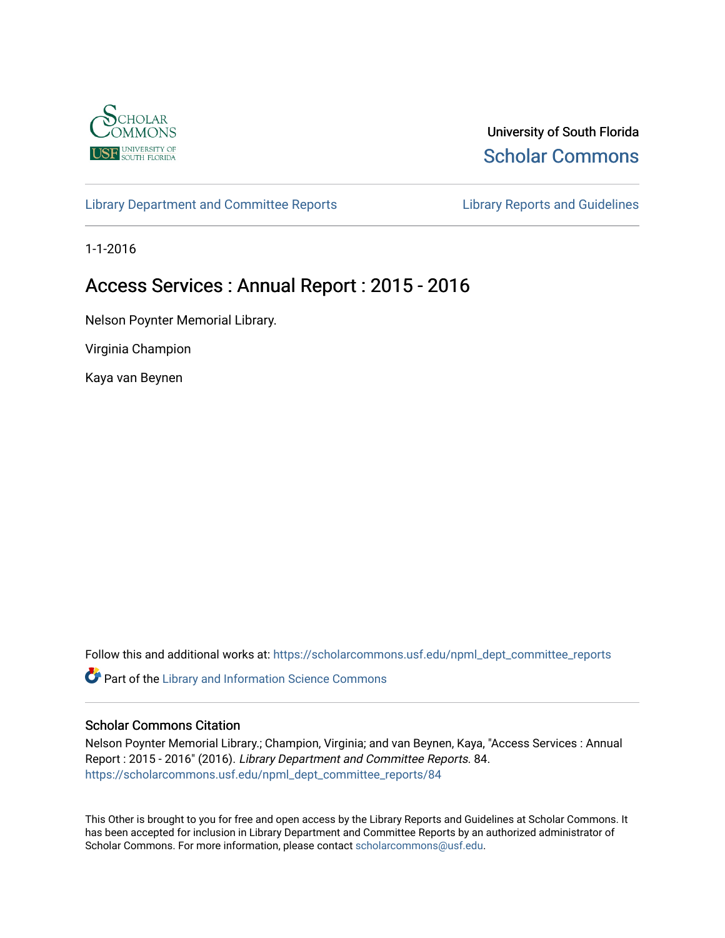

University of South Florida [Scholar Commons](https://scholarcommons.usf.edu/) 

[Library Department and Committee Reports](https://scholarcommons.usf.edu/npml_dept_committee_reports) **Library Reports and Guidelines** 

1-1-2016

# Access Services : Annual Report : 2015 - 2016

Nelson Poynter Memorial Library.

Virginia Champion

Kaya van Beynen

Follow this and additional works at: [https://scholarcommons.usf.edu/npml\\_dept\\_committee\\_reports](https://scholarcommons.usf.edu/npml_dept_committee_reports?utm_source=scholarcommons.usf.edu%2Fnpml_dept_committee_reports%2F84&utm_medium=PDF&utm_campaign=PDFCoverPages)

Part of the [Library and Information Science Commons](http://network.bepress.com/hgg/discipline/1018?utm_source=scholarcommons.usf.edu%2Fnpml_dept_committee_reports%2F84&utm_medium=PDF&utm_campaign=PDFCoverPages) 

#### Scholar Commons Citation

Nelson Poynter Memorial Library.; Champion, Virginia; and van Beynen, Kaya, "Access Services : Annual Report : 2015 - 2016" (2016). Library Department and Committee Reports. 84. [https://scholarcommons.usf.edu/npml\\_dept\\_committee\\_reports/84](https://scholarcommons.usf.edu/npml_dept_committee_reports/84?utm_source=scholarcommons.usf.edu%2Fnpml_dept_committee_reports%2F84&utm_medium=PDF&utm_campaign=PDFCoverPages) 

This Other is brought to you for free and open access by the Library Reports and Guidelines at Scholar Commons. It has been accepted for inclusion in Library Department and Committee Reports by an authorized administrator of Scholar Commons. For more information, please contact [scholarcommons@usf.edu](mailto:scholarcommons@usf.edu).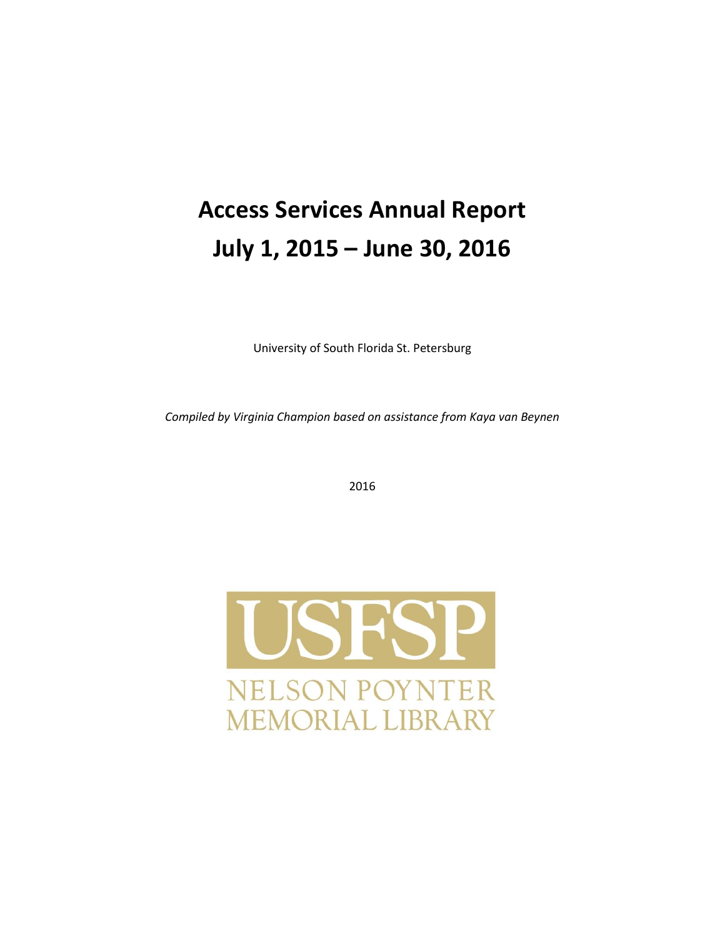# **Access Services Annual Report July 1, 2015 – June 30, 2016**

University of South Florida St. Petersburg

*Compiled by Virginia Champion based on assistance from Kaya van Beynen* 

2016

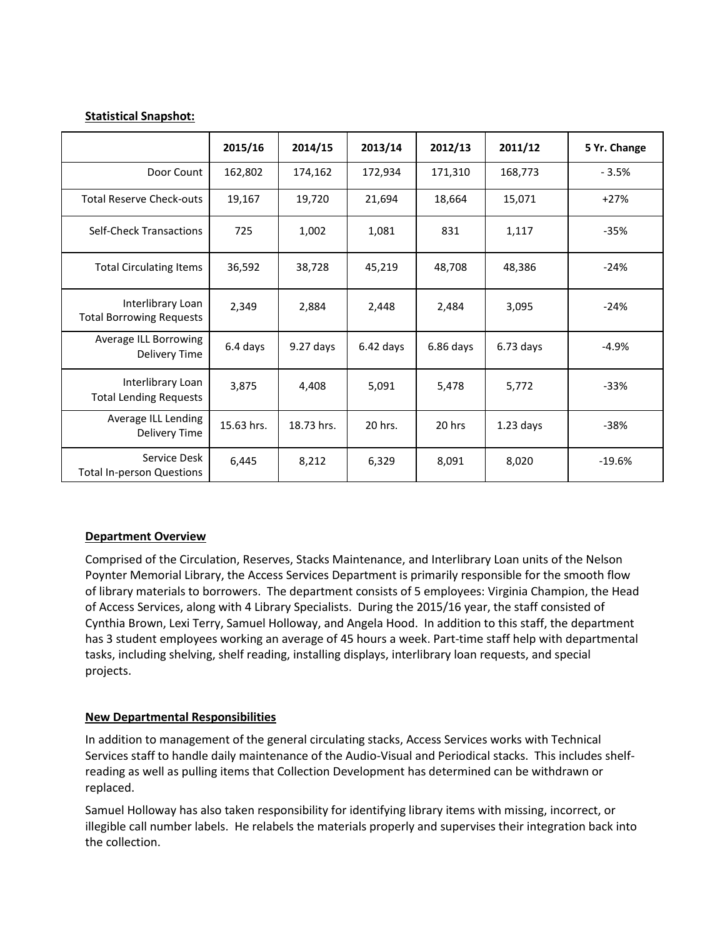#### **Statistical Snapshot:**

|                                                      | 2015/16    | 2014/15     | 2013/14     | 2012/13   | 2011/12     | 5 Yr. Change |
|------------------------------------------------------|------------|-------------|-------------|-----------|-------------|--------------|
| Door Count                                           | 162,802    | 174,162     | 172,934     | 171,310   | 168,773     | $-3.5%$      |
| <b>Total Reserve Check-outs</b>                      | 19,167     | 19,720      | 21,694      | 18,664    | 15,071      | $+27%$       |
| <b>Self-Check Transactions</b>                       | 725        | 1,002       | 1,081       | 831       | 1,117       | $-35%$       |
| <b>Total Circulating Items</b>                       | 36,592     | 38,728      | 45,219      | 48,708    | 48,386      | $-24%$       |
| Interlibrary Loan<br><b>Total Borrowing Requests</b> | 2,349      | 2,884       | 2,448       | 2,484     | 3,095       | $-24%$       |
| Average ILL Borrowing<br>Delivery Time               | 6.4 days   | $9.27$ days | $6.42$ days | 6.86 days | $6.73$ days | $-4.9%$      |
| Interlibrary Loan<br><b>Total Lending Requests</b>   | 3,875      | 4,408       | 5,091       | 5,478     | 5,772       | $-33%$       |
| Average ILL Lending<br>Delivery Time                 | 15.63 hrs. | 18.73 hrs.  | 20 hrs.     | 20 hrs    | $1.23$ days | $-38%$       |
| Service Desk<br><b>Total In-person Questions</b>     | 6,445      | 8,212       | 6,329       | 8,091     | 8,020       | $-19.6%$     |

#### **Department Overview**

Comprised of the Circulation, Reserves, Stacks Maintenance, and Interlibrary Loan units of the Nelson Poynter Memorial Library, the Access Services Department is primarily responsible for the smooth flow of library materials to borrowers. The department consists of 5 employees: Virginia Champion, the Head of Access Services, along with 4 Library Specialists. During the 2015/16 year, the staff consisted of Cynthia Brown, Lexi Terry, Samuel Holloway, and Angela Hood. In addition to this staff, the department has 3 student employees working an average of 45 hours a week. Part-time staff help with departmental tasks, including shelving, shelf reading, installing displays, interlibrary loan requests, and special projects.

#### **New Departmental Responsibilities**

In addition to management of the general circulating stacks, Access Services works with Technical Services staff to handle daily maintenance of the Audio-Visual and Periodical stacks. This includes shelfreading as well as pulling items that Collection Development has determined can be withdrawn or replaced.

Samuel Holloway has also taken responsibility for identifying library items with missing, incorrect, or illegible call number labels. He relabels the materials properly and supervises their integration back into the collection.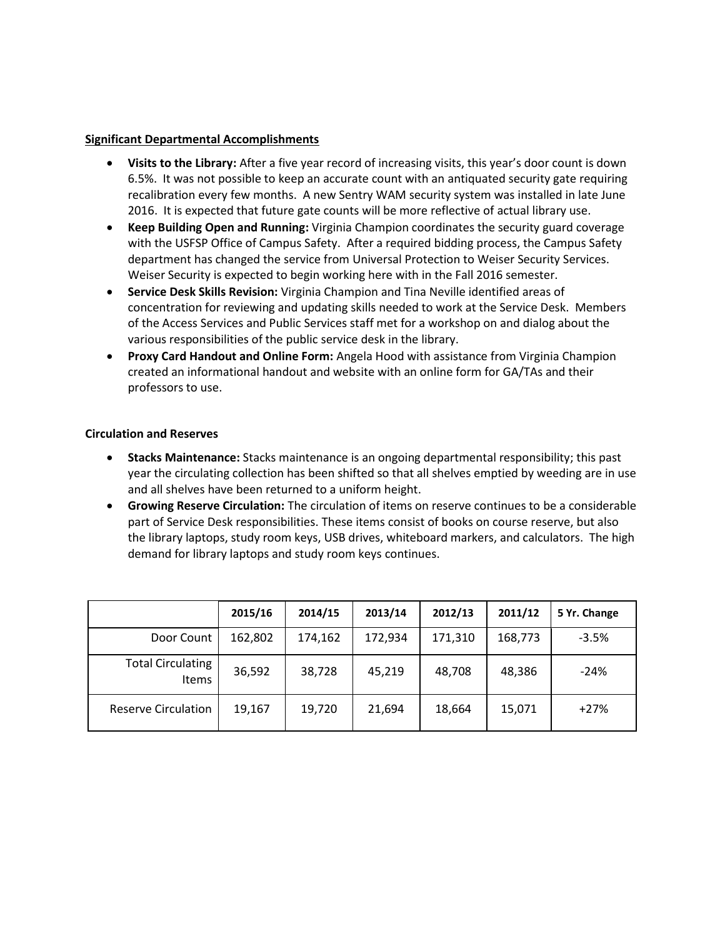#### **Significant Departmental Accomplishments**

- **Visits to the Library:** After a five year record of increasing visits, this year's door count is down 6.5%. It was not possible to keep an accurate count with an antiquated security gate requiring recalibration every few months. A new Sentry WAM security system was installed in late June 2016. It is expected that future gate counts will be more reflective of actual library use.
- **Keep Building Open and Running:** Virginia Champion coordinates the security guard coverage with the USFSP Office of Campus Safety. After a required bidding process, the Campus Safety department has changed the service from Universal Protection to Weiser Security Services. Weiser Security is expected to begin working here with in the Fall 2016 semester.
- **Service Desk Skills Revision:** Virginia Champion and Tina Neville identified areas of concentration for reviewing and updating skills needed to work at the Service Desk. Members of the Access Services and Public Services staff met for a workshop on and dialog about the various responsibilities of the public service desk in the library.
- **Proxy Card Handout and Online Form:** Angela Hood with assistance from Virginia Champion created an informational handout and website with an online form for GA/TAs and their professors to use.

#### **Circulation and Reserves**

- **Stacks Maintenance:** Stacks maintenance is an ongoing departmental responsibility; this past year the circulating collection has been shifted so that all shelves emptied by weeding are in use and all shelves have been returned to a uniform height.
- **Growing Reserve Circulation:** The circulation of items on reserve continues to be a considerable part of Service Desk responsibilities. These items consist of books on course reserve, but also the library laptops, study room keys, USB drives, whiteboard markers, and calculators. The high demand for library laptops and study room keys continues.

|                                          | 2015/16 | 2014/15 | 2013/14 | 2012/13 | 2011/12 | 5 Yr. Change |
|------------------------------------------|---------|---------|---------|---------|---------|--------------|
| Door Count                               | 162,802 | 174,162 | 172,934 | 171,310 | 168,773 | $-3.5%$      |
| <b>Total Circulating</b><br><b>Items</b> | 36,592  | 38,728  | 45,219  | 48,708  | 48,386  | $-24%$       |
| <b>Reserve Circulation</b>               | 19,167  | 19,720  | 21,694  | 18,664  | 15,071  | $+27%$       |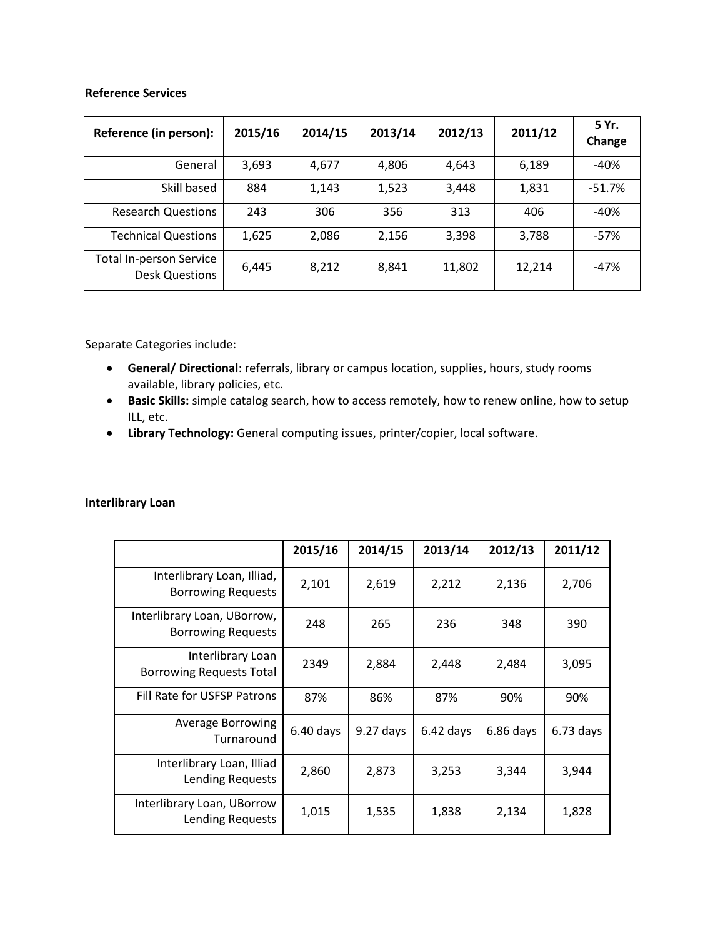#### **Reference Services**

| Reference (in person):                                  | 2015/16 | 2014/15 | 2013/14 | 2012/13 | 2011/12 | 5 Yr.<br>Change |
|---------------------------------------------------------|---------|---------|---------|---------|---------|-----------------|
| General                                                 | 3,693   | 4,677   | 4,806   | 4,643   | 6,189   | $-40%$          |
| Skill based                                             | 884     | 1,143   | 1,523   | 3,448   | 1,831   | $-51.7%$        |
| <b>Research Questions</b>                               | 243     | 306     | 356     | 313     | 406     | $-40%$          |
| <b>Technical Questions</b>                              | 1,625   | 2,086   | 2,156   | 3,398   | 3,788   | $-57%$          |
| <b>Total In-person Service</b><br><b>Desk Questions</b> | 6,445   | 8,212   | 8,841   | 11,802  | 12,214  | $-47%$          |

Separate Categories include:

- **General/ Directional**: referrals, library or campus location, supplies, hours, study rooms available, library policies, etc.
- **Basic Skills:** simple catalog search, how to access remotely, how to renew online, how to setup ILL, etc.
- **Library Technology:** General computing issues, printer/copier, local software.

# **Interlibrary Loan**

|                                                          | 2015/16     | 2014/15     | 2013/14     | 2012/13     | 2011/12     |
|----------------------------------------------------------|-------------|-------------|-------------|-------------|-------------|
| Interlibrary Loan, Illiad,<br><b>Borrowing Requests</b>  | 2,101       | 2,619       | 2,212       | 2,136       | 2,706       |
| Interlibrary Loan, UBorrow,<br><b>Borrowing Requests</b> | 248         | 265         | 236         | 348         | 390         |
| Interlibrary Loan<br><b>Borrowing Requests Total</b>     | 2349        | 2,884       | 2,448       | 2,484       | 3,095       |
| Fill Rate for USFSP Patrons                              | 87%         | 86%         | 87%         | 90%         | 90%         |
| Average Borrowing<br>Turnaround                          | $6.40$ days | $9.27$ days | $6.42$ days | $6.86$ days | $6.73$ days |
| Interlibrary Loan, Illiad<br>Lending Requests            | 2,860       | 2,873       | 3,253       | 3,344       | 3,944       |
| Interlibrary Loan, UBorrow<br>Lending Requests           | 1,015       | 1,535       | 1,838       | 2,134       | 1,828       |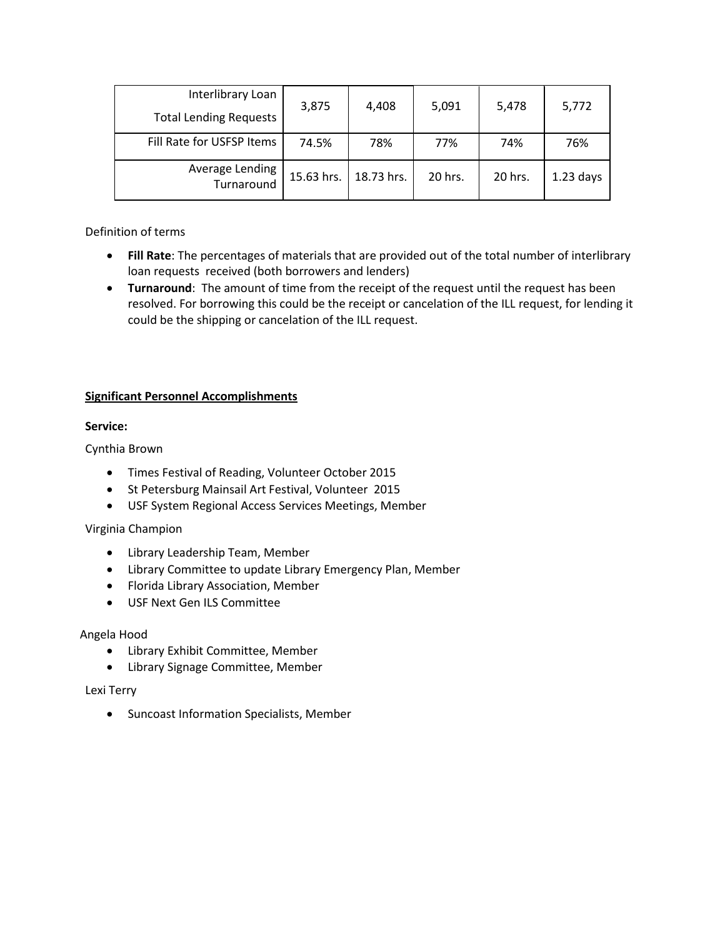| Interlibrary Loan<br><b>Total Lending Requests</b> | 3,875      | 4,408      | 5,091   | 5,478   | 5,772       |
|----------------------------------------------------|------------|------------|---------|---------|-------------|
| Fill Rate for USFSP Items                          | 74.5%      | 78%        | 77%     | 74%     | 76%         |
| Average Lending<br>Turnaround                      | 15.63 hrs. | 18.73 hrs. | 20 hrs. | 20 hrs. | $1.23$ days |

Definition of terms

- **Fill Rate**: The percentages of materials that are provided out of the total number of interlibrary loan requests received (both borrowers and lenders)
- **Turnaround**: The amount of time from the receipt of the request until the request has been resolved. For borrowing this could be the receipt or cancelation of the ILL request, for lending it could be the shipping or cancelation of the ILL request.

# **Significant Personnel Accomplishments**

# **Service:**

Cynthia Brown

- Times Festival of Reading, Volunteer October 2015
- St Petersburg Mainsail Art Festival, Volunteer 2015
- USF System Regional Access Services Meetings, Member

Virginia Champion

- Library Leadership Team, Member
- Library Committee to update Library Emergency Plan, Member
- Florida Library Association, Member
- USF Next Gen ILS Committee

# Angela Hood

- Library Exhibit Committee, Member
- Library Signage Committee, Member

#### Lexi Terry

**•** Suncoast Information Specialists, Member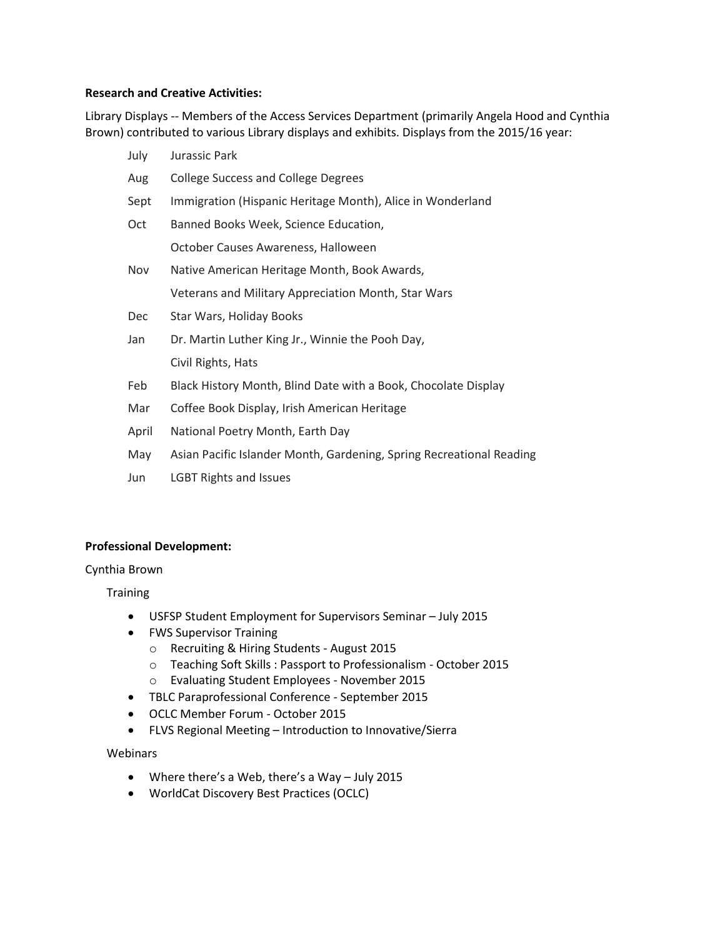#### **Research and Creative Activities:**

Library Displays -- Members of the Access Services Department (primarily Angela Hood and Cynthia Brown) contributed to various Library displays and exhibits. Displays from the 2015/16 year:

| July         | Jurassic Park                                                                                                                                                                                                                  |
|--------------|--------------------------------------------------------------------------------------------------------------------------------------------------------------------------------------------------------------------------------|
| Aug          | <b>College Success and College Degrees</b>                                                                                                                                                                                     |
| Sept         | Immigration (Hispanic Heritage Month), Alice in Wonderland                                                                                                                                                                     |
| Oct          | Banned Books Week, Science Education,                                                                                                                                                                                          |
|              | October Causes Awareness, Halloween                                                                                                                                                                                            |
| Nov          | Native American Heritage Month, Book Awards,                                                                                                                                                                                   |
|              | Veterans and Military Appreciation Month, Star Wars                                                                                                                                                                            |
| <b>Dec</b>   | Star Wars, Holiday Books                                                                                                                                                                                                       |
| Jan          | Dr. Martin Luther King Jr., Winnie the Pooh Day,                                                                                                                                                                               |
|              | Civil Rights, Hats                                                                                                                                                                                                             |
| Feb          | Black History Month, Blind Date with a Book, Chocolate Display                                                                                                                                                                 |
| Mar          | Coffee Book Display, Irish American Heritage                                                                                                                                                                                   |
| April        | National Poetry Month, Earth Day                                                                                                                                                                                               |
| $\mathbf{A}$ | A straighter and a substitute of the straight and the contract of the substitute of the substitute of the substitute of the substitute of the substitute of the substitute of the substitute of the substitute of the substitu |

- May Asian Pacific Islander Month, Gardening, Spring Recreational Reading
- Jun LGBT Rights and Issues

#### **Professional Development:**

#### Cynthia Brown

**Training** 

- USFSP Student Employment for Supervisors Seminar July 2015
- FWS Supervisor Training
	- o Recruiting & Hiring Students August 2015
	- o Teaching Soft Skills : Passport to Professionalism October 2015
	- o Evaluating Student Employees November 2015
- TBLC Paraprofessional Conference September 2015
- OCLC Member Forum October 2015
- FLVS Regional Meeting Introduction to Innovative/Sierra

**Webinars** 

- Where there's a Web, there's a Way July 2015
- WorldCat Discovery Best Practices (OCLC)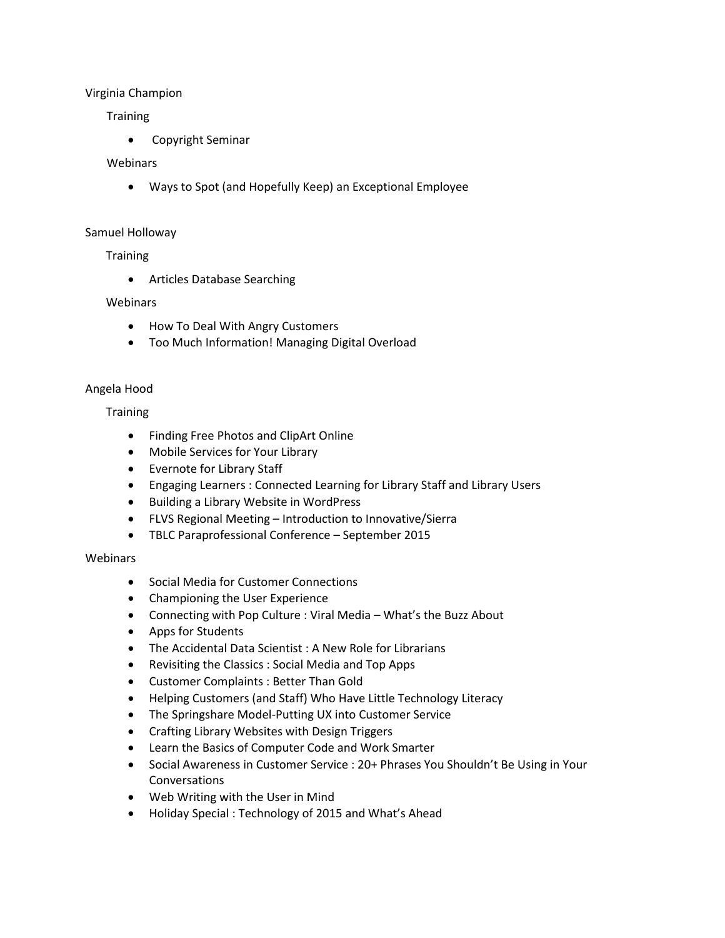#### Virginia Champion

#### **Training**

Copyright Seminar

#### **Webinars**

Ways to Spot (and Hopefully Keep) an Exceptional Employee

#### Samuel Holloway

#### **Training**

Articles Database Searching

#### Webinars

- How To Deal With Angry Customers
- Too Much Information! Managing Digital Overload

#### Angela Hood

# **Training**

- Finding Free Photos and ClipArt Online
- Mobile Services for Your Library
- Evernote for Library Staff
- Engaging Learners : Connected Learning for Library Staff and Library Users
- Building a Library Website in WordPress
- FLVS Regional Meeting Introduction to Innovative/Sierra
- TBLC Paraprofessional Conference September 2015

#### Webinars

- Social Media for Customer Connections
- Championing the User Experience
- Connecting with Pop Culture : Viral Media What's the Buzz About
- Apps for Students
- The Accidental Data Scientist : A New Role for Librarians
- Revisiting the Classics : Social Media and Top Apps
- Customer Complaints : Better Than Gold
- Helping Customers (and Staff) Who Have Little Technology Literacy
- The Springshare Model-Putting UX into Customer Service
- Crafting Library Websites with Design Triggers
- Learn the Basics of Computer Code and Work Smarter
- Social Awareness in Customer Service : 20+ Phrases You Shouldn't Be Using in Your Conversations
- Web Writing with the User in Mind
- Holiday Special : Technology of 2015 and What's Ahead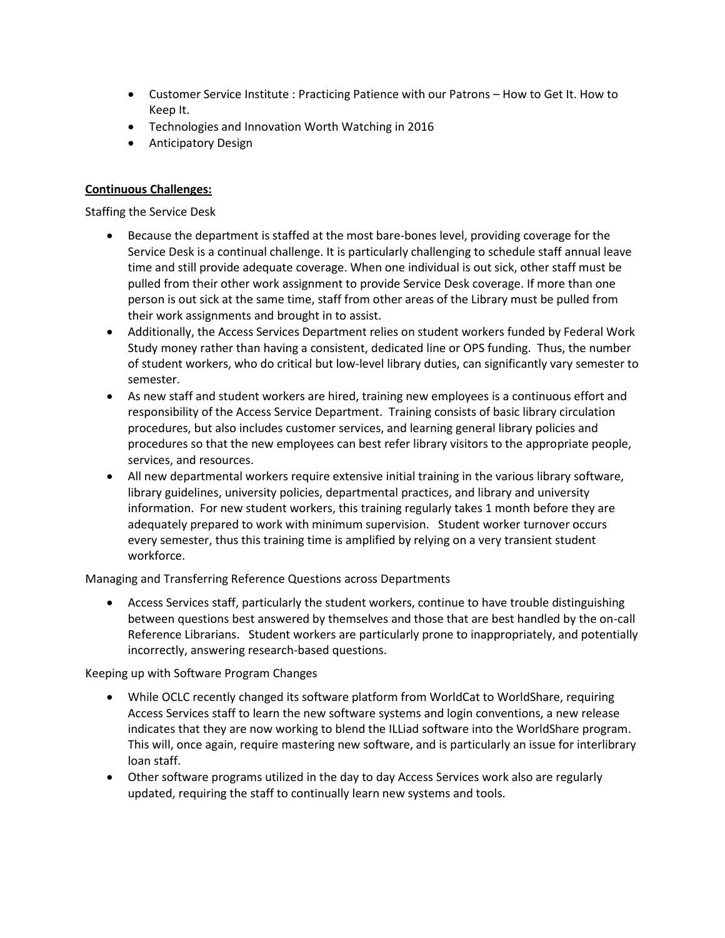- Customer Service Institute : Practicing Patience with our Patrons How to Get It. How to Keep It.
- Technologies and Innovation Worth Watching in 2016
- Anticipatory Design

# **Continuous Challenges:**

Staffing the Service Desk

- Because the department is staffed at the most bare-bones level, providing coverage for the Service Desk is a continual challenge. It is particularly challenging to schedule staff annual leave time and still provide adequate coverage. When one individual is out sick, other staff must be pulled from their other work assignment to provide Service Desk coverage. If more than one person is out sick at the same time, staff from other areas of the Library must be pulled from their work assignments and brought in to assist.
- Additionally, the Access Services Department relies on student workers funded by Federal Work Study money rather than having a consistent, dedicated line or OPS funding. Thus, the number of student workers, who do critical but low-level library duties, can significantly vary semester to semester.
- As new staff and student workers are hired, training new employees is a continuous effort and responsibility of the Access Service Department. Training consists of basic library circulation procedures, but also includes customer services, and learning general library policies and procedures so that the new employees can best refer library visitors to the appropriate people, services, and resources.
- All new departmental workers require extensive initial training in the various library software, library guidelines, university policies, departmental practices, and library and university information. For new student workers, this training regularly takes 1 month before they are adequately prepared to work with minimum supervision. Student worker turnover occurs every semester, thus this training time is amplified by relying on a very transient student workforce.

Managing and Transferring Reference Questions across Departments

 Access Services staff, particularly the student workers, continue to have trouble distinguishing between questions best answered by themselves and those that are best handled by the on-call Reference Librarians. Student workers are particularly prone to inappropriately, and potentially incorrectly, answering research-based questions.

Keeping up with Software Program Changes

- While OCLC recently changed its software platform from WorldCat to WorldShare, requiring Access Services staff to learn the new software systems and login conventions, a new release indicates that they are now working to blend the ILLiad software into the WorldShare program. This will, once again, require mastering new software, and is particularly an issue for interlibrary loan staff.
- Other software programs utilized in the day to day Access Services work also are regularly updated, requiring the staff to continually learn new systems and tools.